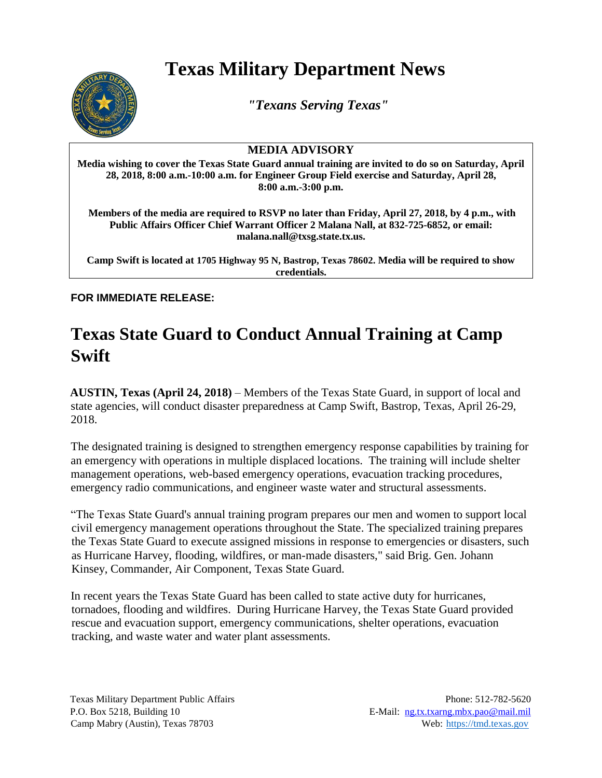## **Texas Military Department News**



*"Texans Serving Texas"*

## **MEDIA ADVISORY**

**Media wishing to cover the Texas State Guard annual training are invited to do so on Saturday, April 28, 2018, 8:00 a.m.-10:00 a.m. for Engineer Group Field exercise and Saturday, April 28, 8:00 a.m.-3:00 p.m.** 

**Members of the media are required to RSVP no later than Friday, April 27, 2018, by 4 p.m., with Public Affairs Officer Chief Warrant Officer 2 Malana Nall, at 832-725-6852, or email: malana.nall@txsg.state.tx.us.**

**Camp Swift is located at 1705 Highway 95 N, Bastrop, Texas 78602. Media will be required to show credentials.**

**FOR IMMEDIATE RELEASE:** 

## **Texas State Guard to Conduct Annual Training at Camp Swift**

**AUSTIN, Texas (April 24, 2018)** – Members of the Texas State Guard, in support of local and state agencies, will conduct disaster preparedness at Camp Swift, Bastrop, Texas, April 26-29, 2018.

The designated training is designed to strengthen emergency response capabilities by training for an emergency with operations in multiple displaced locations. The training will include shelter management operations, web-based emergency operations, evacuation tracking procedures, emergency radio communications, and engineer waste water and structural assessments.

"The Texas State Guard's annual training program prepares our men and women to support local civil emergency management operations throughout the State. The specialized training prepares the Texas State Guard to execute assigned missions in response to emergencies or disasters, such as Hurricane Harvey, flooding, wildfires, or man-made disasters," said Brig. Gen. Johann Kinsey, Commander, Air Component, Texas State Guard.

In recent years the Texas State Guard has been called to state active duty for hurricanes, tornadoes, flooding and wildfires. During Hurricane Harvey, the Texas State Guard provided rescue and evacuation support, emergency communications, shelter operations, evacuation tracking, and waste water and water plant assessments.